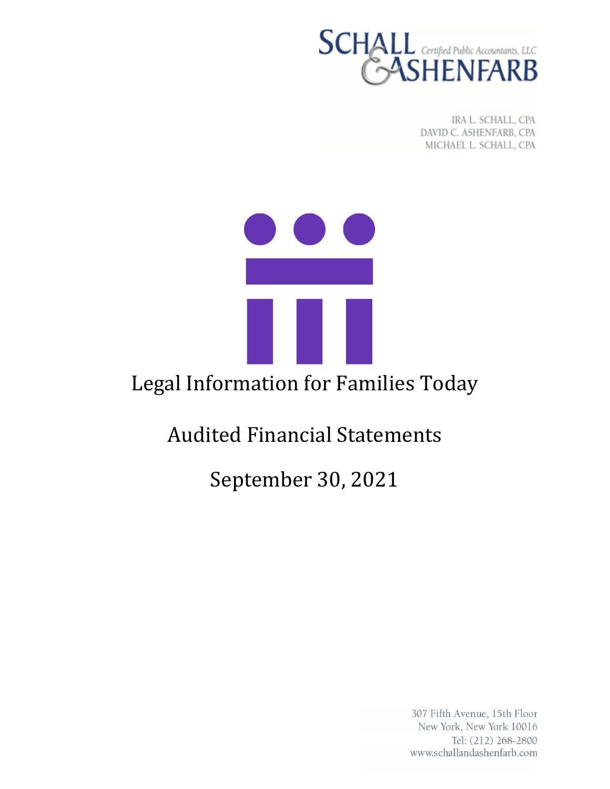

IRA L. SCHALL, CPA DAVID C. ASHENFARB, CPA MICHAEL L. SCHALL, CPA



# Legal Information for Families Today

Audited Financial Statements

September 30, 2021

307 Fifth Avenue, 15th Floor New York, New York 10016 Tel: (212) 268-2800 www.schallandashenfarb.com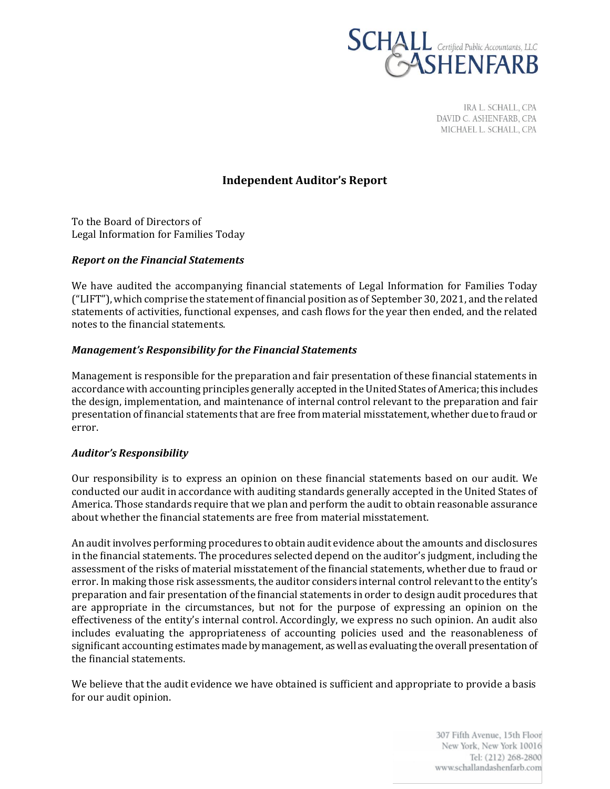

IRA L. SCHALL, CPA DAVID C. ASHENFARB, CPA MICHAEL L. SCHALL, CPA

# **Independent Auditor's Report**

To the Board of Directors of Legal Information for Families Today

## *Report on the Financial Statements*

We have audited the accompanying financial statements of Legal Information for Families Today ("LIFT"), which comprise the statement of financial position as of September 30, 2021, and the related statements of activities, functional expenses, and cash flows for the year then ended, and the related notes to the financial statements.

## *Management's Responsibility for the Financial Statements*

Management is responsible for the preparation and fair presentation of these financial statements in accordance with accounting principles generally accepted in the United States of America; this includes the design, implementation, and maintenance of internal control relevant to the preparation and fair presentation of financial statements that are free from material misstatement, whether due to fraud or error.

### *Auditor's Responsibility*

Our responsibility is to express an opinion on these financial statements based on our audit. We conducted our audit in accordance with auditing standards generally accepted in the United States of America. Those standards require that we plan and perform the audit to obtain reasonable assurance about whether the financial statements are free from material misstatement.

An audit involves performing procedures to obtain audit evidence about the amounts and disclosures in the financial statements. The procedures selected depend on the auditor's judgment, including the assessment of the risks of material misstatement of the financial statements, whether due to fraud or error. In making those risk assessments, the auditor considers internal control relevant to the entity's preparation and fair presentation of the financial statements in order to design audit procedures that are appropriate in the circumstances, but not for the purpose of expressing an opinion on the effectiveness of the entity's internal control. Accordingly, we express no such opinion. An audit also includes evaluating the appropriateness of accounting policies used and the reasonableness of significant accounting estimates made by management, as well as evaluating the overall presentation of the financial statements.

We believe that the audit evidence we have obtained is sufficient and appropriate to provide a basis for our audit opinion.

> 307 Fifth Avenue, 15th Floor New York, New York 10016 Tel: (212) 268-2800 www.schallandashenfarb.com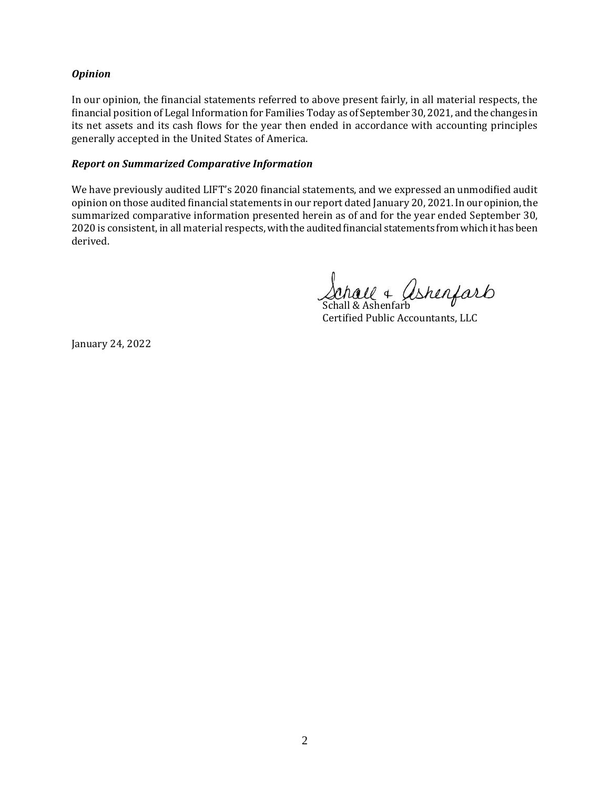# *Opinion*

In our opinion, the financial statements referred to above present fairly, in all material respects, the financial position of Legal Information for Families Today as of September 30, 2021, and the changes in its net assets and its cash flows for the year then ended in accordance with accounting principles generally accepted in the United States of America.

### *Report on Summarized Comparative Information*

We have previously audited LIFT's 2020 financial statements, and we expressed an unmodified audit opinion on those audited financial statements in our report dated January 20, 2021. In our opinion, the summarized comparative information presented herein as of and for the year ended September 30, 2020 is consistent, in all material respects, with the audited financial statements from which it has been derived.

Schall & Ashenfarb

Certified Public Accountants, LLC

January 24, 2022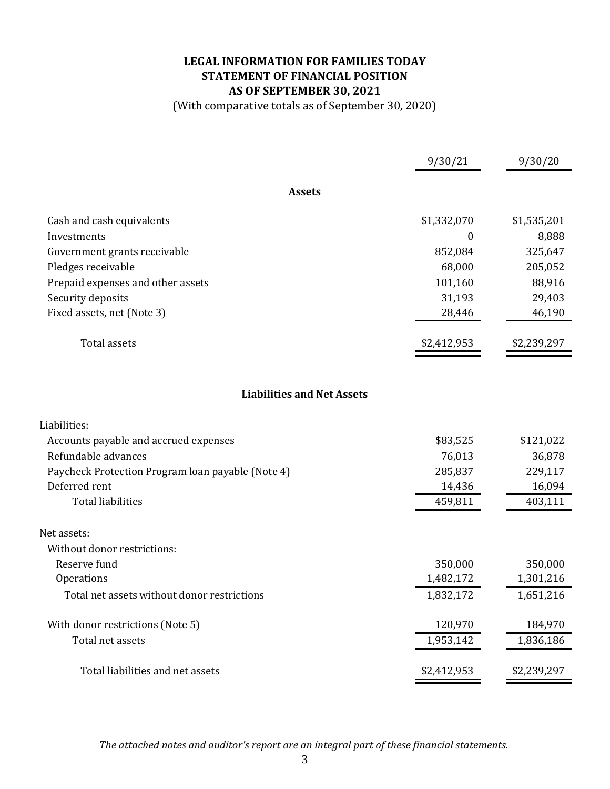# **LEGAL INFORMATION FOR FAMILIES TODAY STATEMENT OF FINANCIAL POSITION AS OF SEPTEMBER 30, 2021**

(With comparative totals as of September 30, 2020)

|                                                   | 9/30/21          | 9/30/20              |
|---------------------------------------------------|------------------|----------------------|
| <b>Assets</b>                                     |                  |                      |
| Cash and cash equivalents                         | \$1,332,070      | \$1,535,201          |
| Investments                                       | $\boldsymbol{0}$ | 8,888                |
| Government grants receivable                      | 852,084          | 325,647              |
| Pledges receivable                                | 68,000           | 205,052              |
| Prepaid expenses and other assets                 | 101,160          | 88,916               |
| Security deposits                                 | 31,193           | 29,403               |
| Fixed assets, net (Note 3)                        | 28,446           | 46,190               |
| Total assets                                      | \$2,412,953      | \$2,239,297          |
| <b>Liabilities and Net Assets</b>                 |                  |                      |
| Liabilities:                                      |                  |                      |
| Accounts payable and accrued expenses             | \$83,525         | \$121,022            |
| Refundable advances                               | 76,013           | 36,878               |
| Paycheck Protection Program loan payable (Note 4) | 285,837          | 229,117              |
| Deferred rent                                     | 14,436           | 16,094               |
| <b>Total liabilities</b>                          | 459,811          | $\overline{4}03,111$ |
| Net assets:                                       |                  |                      |
| Without donor restrictions:                       |                  |                      |
| Reserve fund                                      | 350,000          | 350,000              |
| Operations                                        | 1,482,172        | 1,301,216            |
| Total net assets without donor restrictions       | 1,832,172        | 1,651,216            |
| With donor restrictions (Note 5)                  | 120,970          | 184,970              |
| Total net assets                                  | 1,953,142        | 1,836,186            |
| Total liabilities and net assets                  | \$2,412,953      | \$2,239,297          |

*The attached notes and auditor's report are an integral part of these financial statements.*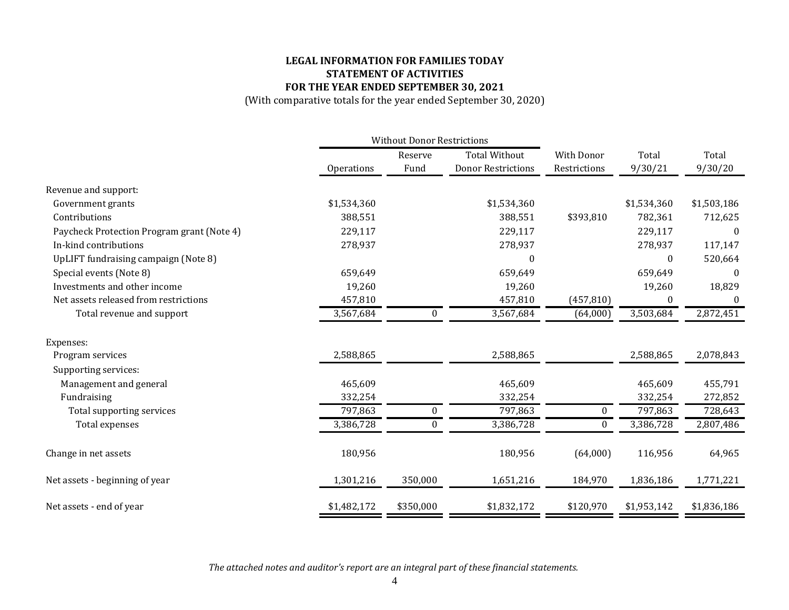# **FOR THE YEAR ENDED SEPTEMBER 30, 2021 STATEMENT OF ACTIVITIES LEGAL INFORMATION FOR FAMILIES TODAY**

(With comparative totals for the year ended September 30, 2020)

|                                            | <b>Without Donor Restrictions</b> |                  |                           |                   |                  |                  |
|--------------------------------------------|-----------------------------------|------------------|---------------------------|-------------------|------------------|------------------|
|                                            |                                   | Reserve          | <b>Total Without</b>      | <b>With Donor</b> | Total            | Total            |
|                                            | Operations                        | Fund             | <b>Donor Restrictions</b> | Restrictions      | 9/30/21          | 9/30/20          |
| Revenue and support:                       |                                   |                  |                           |                   |                  |                  |
| Government grants                          | \$1,534,360                       |                  | \$1,534,360               |                   | \$1,534,360      | \$1,503,186      |
| Contributions                              | 388,551                           |                  | 388,551                   | \$393,810         | 782,361          | 712,625          |
| Paycheck Protection Program grant (Note 4) | 229,117                           |                  | 229,117                   |                   | 229,117          | $\Omega$         |
| In-kind contributions                      | 278,937                           |                  | 278,937                   |                   | 278,937          | 117,147          |
| UpLIFT fundraising campaign (Note 8)       |                                   |                  | $\theta$                  |                   | $\boldsymbol{0}$ | 520,664          |
| Special events (Note 8)                    | 659,649                           |                  | 659,649                   |                   | 659,649          |                  |
| Investments and other income               | 19,260                            |                  | 19,260                    |                   | 19,260           | 18,829           |
| Net assets released from restrictions      | 457,810                           |                  | 457,810                   | (457, 810)        | $\Omega$         | $\boldsymbol{0}$ |
| Total revenue and support                  | 3,567,684                         | $\boldsymbol{0}$ | 3,567,684                 | (64,000)          | 3,503,684        | 2,872,451        |
| Expenses:                                  |                                   |                  |                           |                   |                  |                  |
| Program services                           | 2,588,865                         |                  | 2,588,865                 |                   | 2,588,865        | 2,078,843        |
| Supporting services:                       |                                   |                  |                           |                   |                  |                  |
| Management and general                     | 465,609                           |                  | 465,609                   |                   | 465,609          | 455,791          |
| Fundraising                                | 332,254                           |                  | 332,254                   |                   | 332,254          | 272,852          |
| Total supporting services                  | 797,863                           | $\boldsymbol{0}$ | 797,863                   | $\mathbf{0}$      | 797,863          | 728,643          |
| Total expenses                             | 3,386,728                         | $\boldsymbol{0}$ | 3,386,728                 | $\mathbf{0}$      | 3,386,728        | 2,807,486        |
| Change in net assets                       | 180,956                           |                  | 180,956                   | (64,000)          | 116,956          | 64,965           |
| Net assets - beginning of year             | 1,301,216                         | 350,000          | 1,651,216                 | 184,970           | 1,836,186        | 1,771,221        |
| Net assets - end of year                   | \$1,482,172                       | \$350,000        | \$1,832,172               | \$120,970         | \$1,953,142      | \$1,836,186      |

*The attached notes and auditor's report are an integral part of these financial statements.*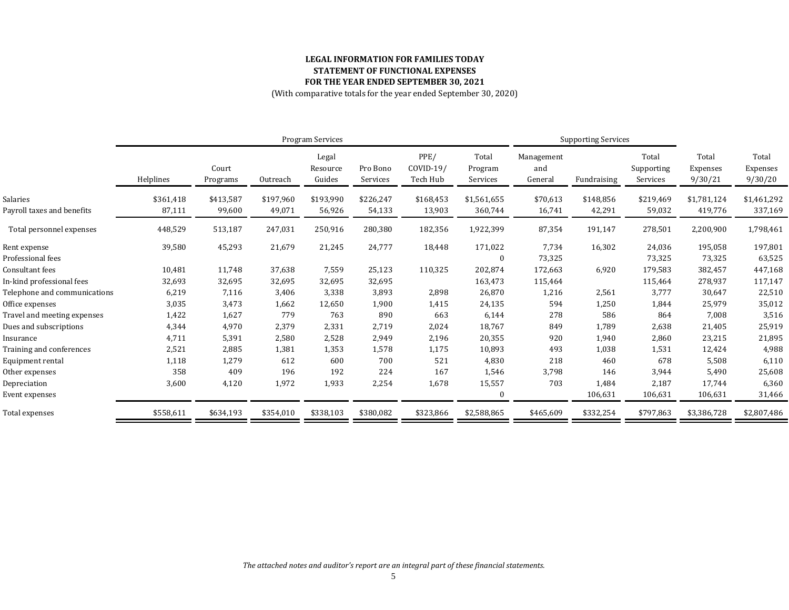# **LEGAL INFORMATION FOR FAMILIES TODAY STATEMENT OF FUNCTIONAL EXPENSES FOR THE YEAR ENDED SEPTEMBER 30, 2021**

(With comparative totals for the year ended September 30, 2020)

|                              |           |                   |           |                             |                      | <b>Supporting Services</b>      |                              |                              | <b>Program Services</b> |                                 |                              |                              |  |  |  |
|------------------------------|-----------|-------------------|-----------|-----------------------------|----------------------|---------------------------------|------------------------------|------------------------------|-------------------------|---------------------------------|------------------------------|------------------------------|--|--|--|
|                              | Helplines | Court<br>Programs | Outreach  | Legal<br>Resource<br>Guides | Pro Bono<br>Services | PPE/<br>$COVID-19/$<br>Tech Hub | Total<br>Program<br>Services | Management<br>and<br>General | Fundraising             | Total<br>Supporting<br>Services | Total<br>Expenses<br>9/30/21 | Total<br>Expenses<br>9/30/20 |  |  |  |
| Salaries                     | \$361,418 | \$413,587         | \$197,960 | \$193,990                   | \$226,247            | \$168,453                       | \$1,561,655                  | \$70,613                     | \$148,856               | \$219,469                       | \$1,781,124                  | \$1,461,292                  |  |  |  |
| Payroll taxes and benefits   | 87,111    | 99,600            | 49,071    | 56,926                      | 54,133               | 13,903                          | 360,744                      | 16,741                       | 42,291                  | 59,032                          | 419,776                      | 337,169                      |  |  |  |
| Total personnel expenses     | 448,529   | 513,187           | 247,031   | 250,916                     | 280,380              | 182,356                         | 1,922,399                    | 87,354                       | 191,147                 | 278,501                         | 2,200,900                    | 1,798,461                    |  |  |  |
| Rent expense                 | 39,580    | 45,293            | 21,679    | 21,245                      | 24,777               | 18,448                          | 171,022                      | 7,734                        | 16,302                  | 24,036                          | 195,058                      | 197,801                      |  |  |  |
| Professional fees            |           |                   |           |                             |                      |                                 | $\mathbf{0}$                 | 73,325                       |                         | 73,325                          | 73,325                       | 63,525                       |  |  |  |
| Consultant fees              | 10,481    | 11,748            | 37,638    | 7,559                       | 25,123               | 110,325                         | 202,874                      | 172,663                      | 6,920                   | 179,583                         | 382,457                      | 447,168                      |  |  |  |
| In-kind professional fees    | 32,693    | 32,695            | 32,695    | 32,695                      | 32,695               |                                 | 163,473                      | 115,464                      |                         | 115,464                         | 278,937                      | 117,147                      |  |  |  |
| Telephone and communications | 6,219     | 7,116             | 3,406     | 3,338                       | 3,893                | 2,898                           | 26,870                       | 1,216                        | 2,561                   | 3,777                           | 30,647                       | 22,510                       |  |  |  |
| Office expenses              | 3,035     | 3,473             | 1,662     | 12,650                      | 1,900                | 1,415                           | 24,135                       | 594                          | 1,250                   | 1,844                           | 25,979                       | 35,012                       |  |  |  |
| Travel and meeting expenses  | 1,422     | 1,627             | 779       | 763                         | 890                  | 663                             | 6,144                        | 278                          | 586                     | 864                             | 7,008                        | 3,516                        |  |  |  |
| Dues and subscriptions       | 4,344     | 4,970             | 2,379     | 2,331                       | 2,719                | 2,024                           | 18,767                       | 849                          | 1,789                   | 2,638                           | 21,405                       | 25,919                       |  |  |  |
| Insurance                    | 4,711     | 5,391             | 2,580     | 2,528                       | 2,949                | 2,196                           | 20,355                       | 920                          | 1,940                   | 2,860                           | 23,215                       | 21,895                       |  |  |  |
| Training and conferences     | 2,521     | 2,885             | 1,381     | 1,353                       | 1,578                | 1,175                           | 10,893                       | 493                          | 1,038                   | 1,531                           | 12,424                       | 4,988                        |  |  |  |
| Equipment rental             | 1,118     | 1,279             | 612       | 600                         | 700                  | 521                             | 4,830                        | 218                          | 460                     | 678                             | 5,508                        | 6,110                        |  |  |  |
| Other expenses               | 358       | 409               | 196       | 192                         | 224                  | 167                             | 1,546                        | 3,798                        | 146                     | 3,944                           | 5,490                        | 25,608                       |  |  |  |
| Depreciation                 | 3,600     | 4,120             | 1,972     | 1,933                       | 2,254                | 1,678                           | 15,557                       | 703                          | 1,484                   | 2,187                           | 17,744                       | 6,360                        |  |  |  |
| Event expenses               |           |                   |           |                             |                      |                                 | $\theta$                     |                              | 106,631                 | 106,631                         | 106,631                      | 31,466                       |  |  |  |
| Total expenses               | \$558,611 | \$634,193         | \$354,010 | \$338,103                   | \$380,082            | \$323,866                       | \$2,588,865                  | \$465,609                    | \$332,254               | \$797,863                       | \$3,386,728                  | \$2,807,486                  |  |  |  |
|                              |           |                   |           |                             |                      |                                 |                              |                              |                         |                                 |                              |                              |  |  |  |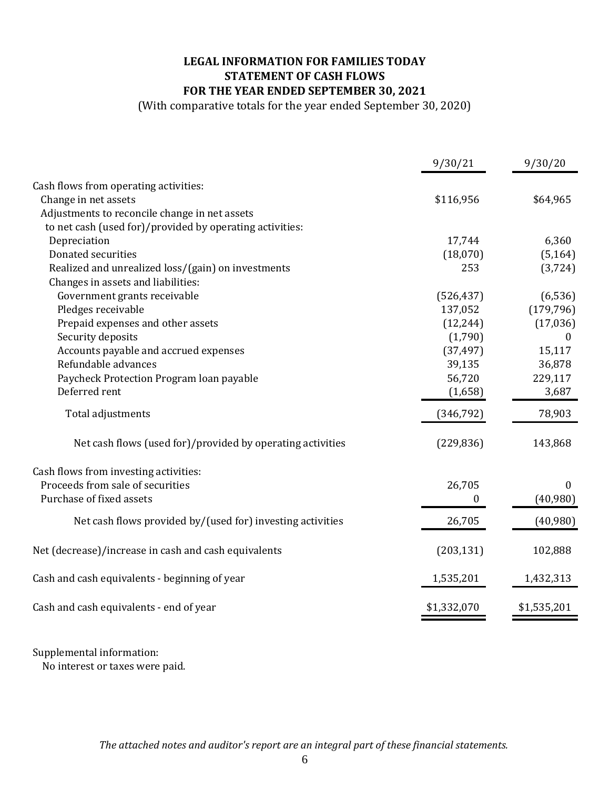# **LEGAL INFORMATION FOR FAMILIES TODAY STATEMENT OF CASH FLOWS FOR THE YEAR ENDED SEPTEMBER 30, 2021**

(With comparative totals for the year ended September 30, 2020)

|                                                            | 9/30/21     | 9/30/20     |
|------------------------------------------------------------|-------------|-------------|
| Cash flows from operating activities:                      |             |             |
| Change in net assets                                       | \$116,956   | \$64,965    |
| Adjustments to reconcile change in net assets              |             |             |
| to net cash (used for)/provided by operating activities:   |             |             |
| Depreciation                                               | 17,744      | 6,360       |
| Donated securities                                         | (18,070)    | (5, 164)    |
| Realized and unrealized loss/(gain) on investments         | 253         | (3, 724)    |
| Changes in assets and liabilities:                         |             |             |
| Government grants receivable                               | (526, 437)  | (6, 536)    |
| Pledges receivable                                         | 137,052     | (179, 796)  |
| Prepaid expenses and other assets                          | (12, 244)   | (17,036)    |
| Security deposits                                          | (1,790)     | $\theta$    |
| Accounts payable and accrued expenses                      | (37, 497)   | 15,117      |
| Refundable advances                                        | 39,135      | 36,878      |
| Paycheck Protection Program loan payable                   | 56,720      | 229,117     |
| Deferred rent                                              | (1,658)     | 3,687       |
| Total adjustments                                          | (346, 792)  | 78,903      |
| Net cash flows (used for)/provided by operating activities | (229, 836)  | 143,868     |
| Cash flows from investing activities:                      |             |             |
| Proceeds from sale of securities                           | 26,705      | $\theta$    |
| Purchase of fixed assets                                   | 0           | (40,980)    |
| Net cash flows provided by/(used for) investing activities | 26,705      | (40,980)    |
| Net (decrease)/increase in cash and cash equivalents       | (203, 131)  | 102,888     |
| Cash and cash equivalents - beginning of year              | 1,535,201   | 1,432,313   |
| Cash and cash equivalents - end of year                    | \$1,332,070 | \$1,535,201 |

Supplemental information:

No interest or taxes were paid.

*The attached notes and auditor's report are an integral part of these financial statements.*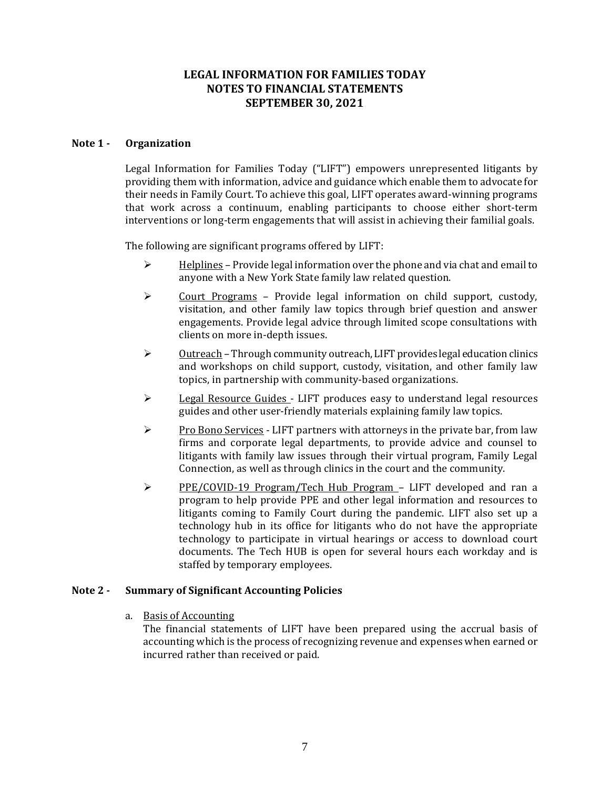# **LEGAL INFORMATION FOR FAMILIES TODAY NOTES TO FINANCIAL STATEMENTS SEPTEMBER 30, 2021**

# **Note 1 - Organization**

Legal Information for Families Today ("LIFT") empowers unrepresented litigants by providing them with information, advice and guidance which enable them to advocate for their needs in Family Court. To achieve this goal, LIFT operates award-winning programs that work across a continuum, enabling participants to choose either short-term interventions or long-term engagements that will assist in achieving their familial goals.

The following are significant programs offered by LIFT:

- $\triangleright$  Helplines Provide legal information over the phone and via chat and email to anyone with a New York State family law related question.
- ➢ Court Programs Provide legal information on child support, custody, visitation, and other family law topics through brief question and answer engagements. Provide legal advice through limited scope consultations with clients on more in-depth issues.
- $\triangleright$  Outreach Through community outreach, LIFT provides legal education clinics and workshops on child support, custody, visitation, and other family law topics, in partnership with community-based organizations.
- ➢ Legal Resource Guides LIFT produces easy to understand legal resources guides and other user-friendly materials explaining family law topics.
- $\triangleright$  Pro Bono Services LIFT partners with attorneys in the private bar, from law firms and corporate legal departments, to provide advice and counsel to litigants with family law issues through their virtual program, Family Legal Connection, as well as through clinics in the court and the community.
- PPE/COVID-19 Program/Tech Hub Program LIFT developed and ran a program to help provide PPE and other legal information and resources to litigants coming to Family Court during the pandemic. LIFT also set up a technology hub in its office for litigants who do not have the appropriate technology to participate in virtual hearings or access to download court documents. The Tech HUB is open for several hours each workday and is staffed by temporary employees.

#### **Note 2 - Summary of Significant Accounting Policies**

a. Basis of Accounting

The financial statements of LIFT have been prepared using the accrual basis of accounting which is the process of recognizing revenue and expenses when earned or incurred rather than received or paid.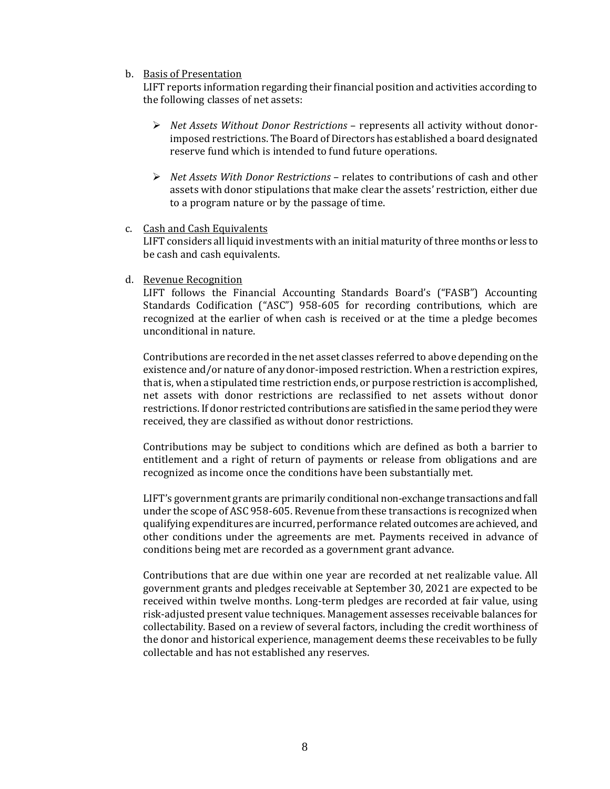### b. Basis of Presentation

LIFT reports information regarding their financial position and activities according to the following classes of net assets:

- ➢ *Net Assets Without Donor Restrictions* represents all activity without donorimposed restrictions. The Board of Directors has established a board designated reserve fund which is intended to fund future operations.
- ➢ *Net Assets With Donor Restrictions*  relates to contributions of cash and other assets with donor stipulations that make clear the assets' restriction, either due to a program nature or by the passage of time.

#### c. Cash and Cash Equivalents

LIFT considers all liquid investments with an initial maturity of three months or less to be cash and cash equivalents.

d. Revenue Recognition

LIFT follows the Financial Accounting Standards Board's ("FASB") Accounting Standards Codification ("ASC") 958-605 for recording contributions, which are recognized at the earlier of when cash is received or at the time a pledge becomes unconditional in nature.

Contributions are recorded in the net asset classes referred to above depending on the existence and/or nature of any donor-imposed restriction. When a restriction expires, that is, when a stipulated time restriction ends, or purpose restriction is accomplished, net assets with donor restrictions are reclassified to net assets without donor restrictions. If donor restricted contributions are satisfied in the same period they were received, they are classified as without donor restrictions.

Contributions may be subject to conditions which are defined as both a barrier to entitlement and a right of return of payments or release from obligations and are recognized as income once the conditions have been substantially met.

LIFT's government grants are primarily conditional non-exchange transactions and fall under the scope of ASC 958-605. Revenue from these transactions is recognized when qualifying expenditures are incurred, performance related outcomes are achieved, and other conditions under the agreements are met. Payments received in advance of conditions being met are recorded as a government grant advance.

Contributions that are due within one year are recorded at net realizable value. All government grants and pledges receivable at September 30, 2021 are expected to be received within twelve months. Long-term pledges are recorded at fair value, using risk-adjusted present value techniques. Management assesses receivable balances for collectability. Based on a review of several factors, including the credit worthiness of the donor and historical experience, management deems these receivables to be fully collectable and has not established any reserves.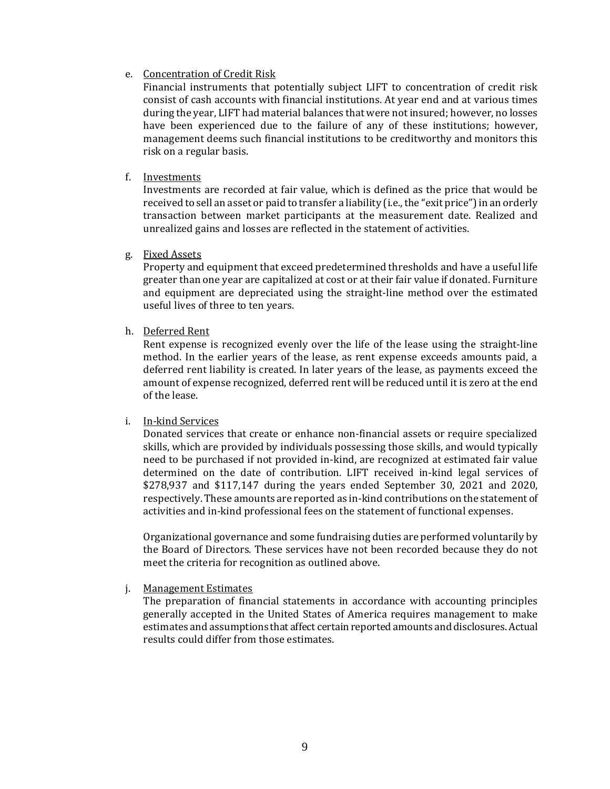## e. Concentration of Credit Risk

Financial instruments that potentially subject LIFT to concentration of credit risk consist of cash accounts with financial institutions. At year end and at various times during the year, LIFT had material balances that were not insured; however, no losses have been experienced due to the failure of any of these institutions; however, management deems such financial institutions to be creditworthy and monitors this risk on a regular basis.

## f. Investments

Investments are recorded at fair value, which is defined as the price that would be received to sell an asset or paid to transfer a liability (i.e., the "exit price") in an orderly transaction between market participants at the measurement date. Realized and unrealized gains and losses are reflected in the statement of activities.

### g. Fixed Assets

Property and equipment that exceed predetermined thresholds and have a useful life greater than one year are capitalized at cost or at their fair value if donated. Furniture and equipment are depreciated using the straight-line method over the estimated useful lives of three to ten years.

## h. Deferred Rent

Rent expense is recognized evenly over the life of the lease using the straight-line method. In the earlier years of the lease, as rent expense exceeds amounts paid, a deferred rent liability is created. In later years of the lease, as payments exceed the amount of expense recognized, deferred rent will be reduced until it is zero at the end of the lease.

### i. In-kind Services

Donated services that create or enhance non-financial assets or require specialized skills, which are provided by individuals possessing those skills, and would typically need to be purchased if not provided in-kind, are recognized at estimated fair value determined on the date of contribution. LIFT received in-kind legal services of \$278,937 and \$117,147 during the years ended September 30, 2021 and 2020, respectively. These amounts are reported as in-kind contributions on the statement of activities and in-kind professional fees on the statement of functional expenses.

Organizational governance and some fundraising duties are performed voluntarily by the Board of Directors. These services have not been recorded because they do not meet the criteria for recognition as outlined above.

### j. Management Estimates

The preparation of financial statements in accordance with accounting principles generally accepted in the United States of America requires management to make estimates and assumptions that affect certain reported amounts and disclosures. Actual results could differ from those estimates.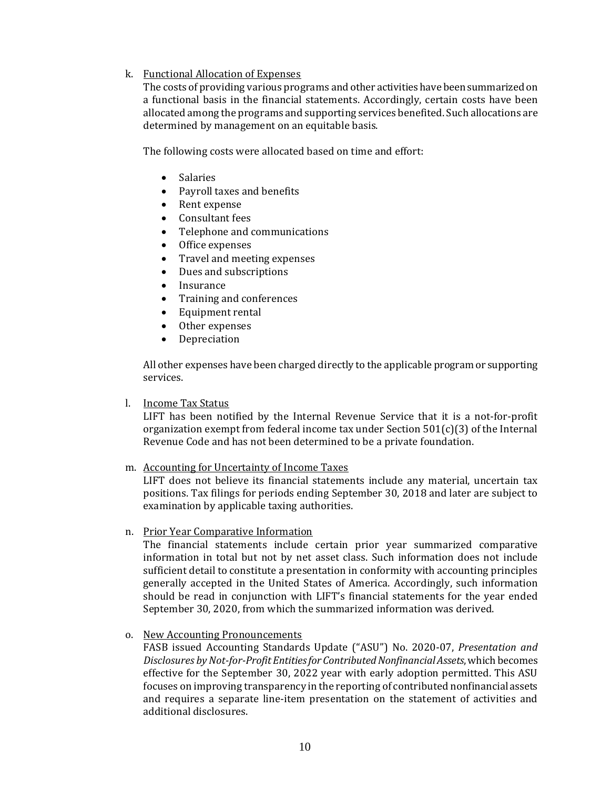# k. Functional Allocation of Expenses

The costs of providing various programs and other activities have been summarized on a functional basis in the financial statements. Accordingly, certain costs have been allocated among the programs and supporting services benefited. Such allocations are determined by management on an equitable basis.

The following costs were allocated based on time and effort:

- Salaries
- Payroll taxes and benefits
- Rent expense
- Consultant fees
- Telephone and communications
- Office expenses
- Travel and meeting expenses
- Dues and subscriptions
- Insurance
- Training and conferences
- Equipment rental
- Other expenses
- Depreciation

All other expenses have been charged directly to the applicable program or supporting services.

l. Income Tax Status

LIFT has been notified by the Internal Revenue Service that it is a not-for-profit organization exempt from federal income tax under Section  $501(c)(3)$  of the Internal Revenue Code and has not been determined to be a private foundation.

m. Accounting for Uncertainty of Income Taxes

LIFT does not believe its financial statements include any material, uncertain tax positions. Tax filings for periods ending September 30, 2018 and later are subject to examination by applicable taxing authorities.

n. Prior Year Comparative Information

The financial statements include certain prior year summarized comparative information in total but not by net asset class. Such information does not include sufficient detail to constitute a presentation in conformity with accounting principles generally accepted in the United States of America. Accordingly, such information should be read in conjunction with LIFT's financial statements for the year ended September 30, 2020, from which the summarized information was derived.

### o. New Accounting Pronouncements

FASB issued Accounting Standards Update ("ASU") No. 2020-07, *Presentation and Disclosures by Not-for-Profit Entities for Contributed Nonfinancial Assets*, which becomes effective for the September 30, 2022 year with early adoption permitted. This ASU focuses on improving transparency in the reporting of contributed nonfinancial assets and requires a separate line-item presentation on the statement of activities and additional disclosures.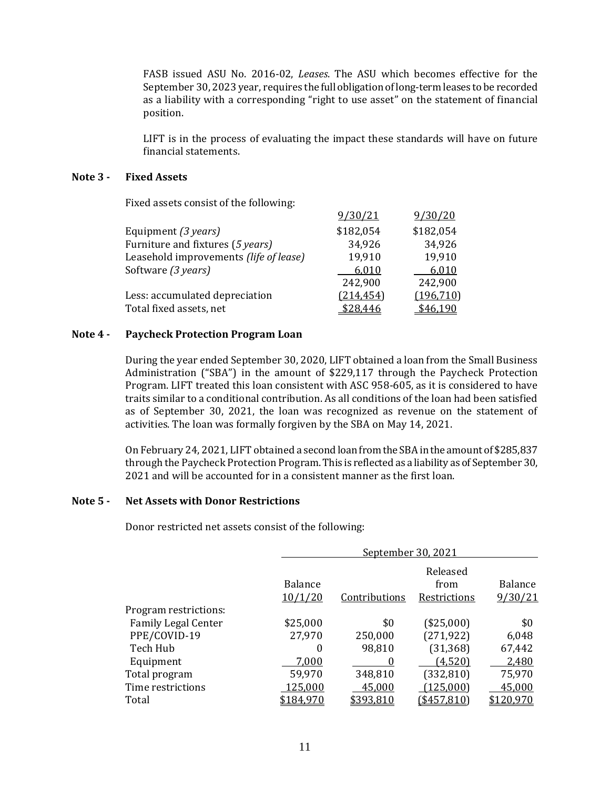FASB issued ASU No. 2016-02, *Leases*. The ASU which becomes effective for the September 30, 2023 year, requires the full obligation of long-term leases to be recorded as a liability with a corresponding "right to use asset" on the statement of financial position.

LIFT is in the process of evaluating the impact these standards will have on future financial statements.

 $0/20/21$   $0/20/20$ 

#### **Note 3 - Fixed Assets**

Fixed assets consist of the following:

|                                        | <u>,,,,,,,</u> | <u>7130140</u> |
|----------------------------------------|----------------|----------------|
| Equipment (3 years)                    | \$182,054      | \$182,054      |
| Furniture and fixtures (5 years)       | 34,926         | 34,926         |
| Leasehold improvements (life of lease) | 19,910         | 19,910         |
| Software (3 years)                     | 6,010          | 6,010          |
|                                        | 242,900        | 242,900        |
| Less: accumulated depreciation         | (214, 454)     | (196, 710)     |
| Total fixed assets, net                | \$28.446       | 46.190.        |
|                                        |                |                |

### **Note 4 - Paycheck Protection Program Loan**

During the year ended September 30, 2020, LIFT obtained a loan from the Small Business Administration ("SBA") in the amount of \$229,117 through the Paycheck Protection Program. LIFT treated this loan consistent with ASC 958-605, as it is considered to have traits similar to a conditional contribution. As all conditions of the loan had been satisfied as of September 30, 2021, the loan was recognized as revenue on the statement of activities. The loan was formally forgiven by the SBA on May 14, 2021.

On February 24, 2021, LIFT obtained a second loan from the SBA in the amount of \$285,837 through the Paycheck Protection Program. This is reflected as a liability as of September 30, 2021 and will be accounted for in a consistent manner as the first loan.

## **Note 5 - Net Assets with Donor Restrictions**

Donor restricted net assets consist of the following:

|                            |                           | September 30, 2021 |                                  |                           |  |  |  |
|----------------------------|---------------------------|--------------------|----------------------------------|---------------------------|--|--|--|
|                            | <b>Balance</b><br>10/1/20 | Contributions      | Released<br>from<br>Restrictions | <b>Balance</b><br>9/30/21 |  |  |  |
| Program restrictions:      |                           |                    |                                  |                           |  |  |  |
| <b>Family Legal Center</b> | \$25,000                  | \$0                | (\$25,000)                       | \$0                       |  |  |  |
| PPE/COVID-19               | 27,970                    | 250,000            | (271, 922)                       | 6,048                     |  |  |  |
| Tech Hub                   | 0                         | 98,810             | (31, 368)                        | 67,442                    |  |  |  |
| Equipment                  | 7,000                     |                    | (4,520)                          | 2,480                     |  |  |  |
| Total program              | 59,970                    | 348,810            | (332, 810)                       | 75,970                    |  |  |  |
| Time restrictions          | 125,000                   | 45,000             | (125,000)                        | 45,000                    |  |  |  |
| Total                      | <u>\$184,970</u>          | <u>\$393,810</u>   | (\$457,810                       | \$120,970                 |  |  |  |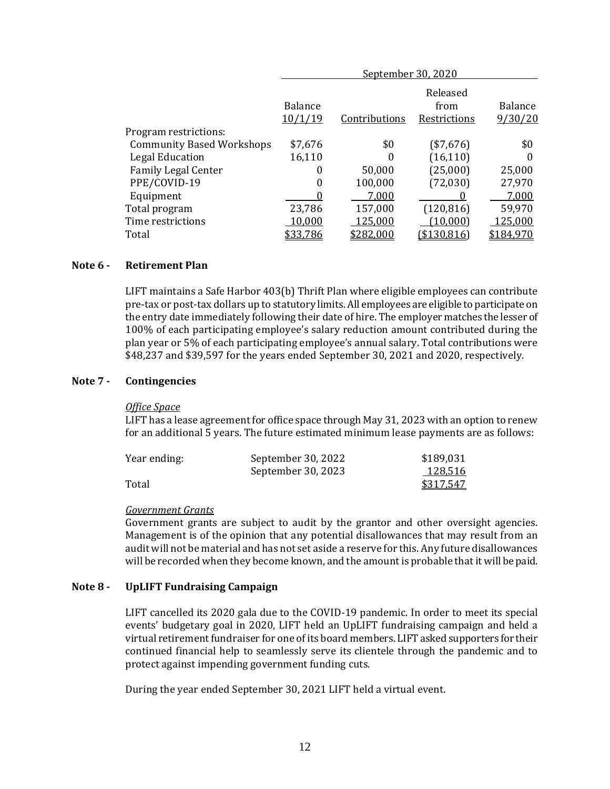|                                  | September 30, 2020 |               |                     |                |  |  |
|----------------------------------|--------------------|---------------|---------------------|----------------|--|--|
|                                  | <b>Balance</b>     |               | Released<br>from    | <b>Balance</b> |  |  |
|                                  | 10/1/19            | Contributions | Restrictions        | 9/30/20        |  |  |
| Program restrictions:            |                    |               |                     |                |  |  |
| <b>Community Based Workshops</b> | \$7,676            | \$0           | $(*7,676)$          | \$0            |  |  |
| <b>Legal Education</b>           | 16,110             | $\theta$      | (16, 110)           | 0              |  |  |
| <b>Family Legal Center</b>       | 0                  | 50,000        | (25,000)            | 25,000         |  |  |
| PPE/COVID-19                     | 0                  | 100,000       | (72, 030)           | 27,970         |  |  |
| Equipment                        |                    | 7,000         |                     | 7,000          |  |  |
| Total program                    | 23,786             | 157,000       | (120, 816)          | 59,970         |  |  |
| Time restrictions                | 10,000             | 125,000       | (10,000)            | 125,000        |  |  |
| Total                            | \$33,786           | \$282,000     | <u>(\$130,816</u> ) | \$184,970      |  |  |

#### **Note 6 - Retirement Plan**

LIFT maintains a Safe Harbor 403(b) Thrift Plan where eligible employees can contribute pre-tax or post-tax dollars up to statutory limits. All employees are eligible to participate on the entry date immediately following their date of hire. The employer matches the lesser of 100% of each participating employee's salary reduction amount contributed during the plan year or 5% of each participating employee's annual salary. Total contributions were \$48,237 and \$39,597 for the years ended September 30, 2021 and 2020, respectively.

#### **Note 7 - Contingencies**

#### *Office Space*

LIFT has a lease agreement for office space through May 31, 2023 with an option to renew for an additional 5 years. The future estimated minimum lease payments are as follows:

| Year ending: | September 30, 2022 | \$189,031 |
|--------------|--------------------|-----------|
|              | September 30, 2023 | 128,516   |
| Total        |                    | \$317,547 |

#### *Government Grants*

Government grants are subject to audit by the grantor and other oversight agencies. Management is of the opinion that any potential disallowances that may result from an audit will not be material and has not set aside a reserve for this. Any future disallowances will be recorded when they become known, and the amount is probable that it will be paid.

### **Note 8 - UpLIFT Fundraising Campaign**

LIFT cancelled its 2020 gala due to the COVID-19 pandemic. In order to meet its special events' budgetary goal in 2020, LIFT held an UpLIFT fundraising campaign and held a virtual retirement fundraiser for one of its board members. LIFT asked supporters for their continued financial help to seamlessly serve its clientele through the pandemic and to protect against impending government funding cuts.

During the year ended September 30, 2021 LIFT held a virtual event.